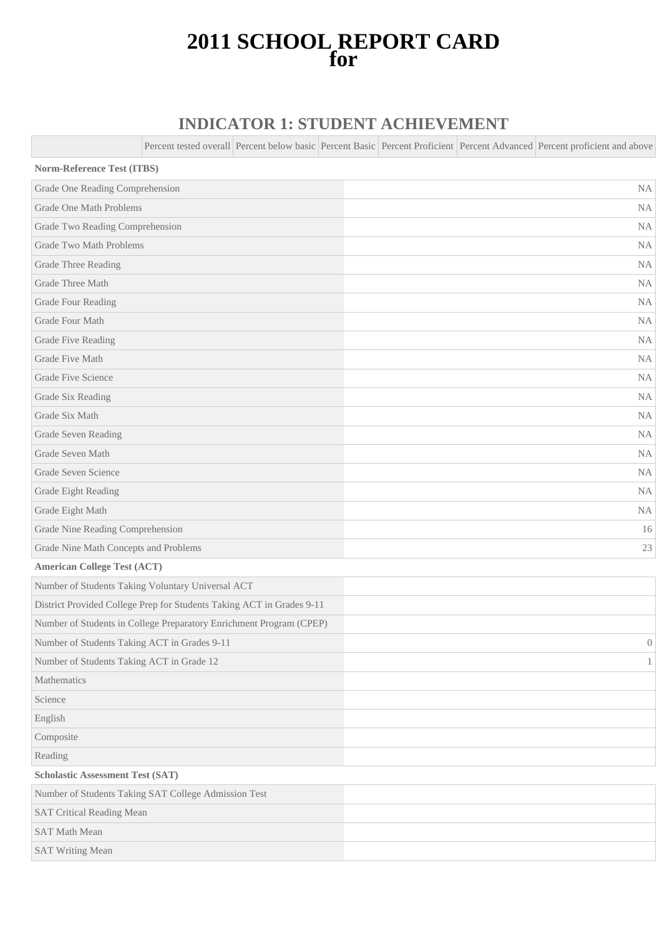# **2011 SCHOOL REPORT CARD for**

## **INDICATOR 1: STUDENT ACHIEVEMENT**

Percent tested overall Percent below basic Percent Basic Percent Proficient Percent Advanced Percent proficient and above

| <b>Norm-Reference Test (ITBS)</b>                                     |                |
|-----------------------------------------------------------------------|----------------|
| Grade One Reading Comprehension                                       | NA             |
| Grade One Math Problems                                               | NA             |
| Grade Two Reading Comprehension                                       | <b>NA</b>      |
| <b>Grade Two Math Problems</b>                                        | NA             |
| Grade Three Reading                                                   | NA             |
| Grade Three Math                                                      | NA             |
| Grade Four Reading                                                    | NA             |
| Grade Four Math                                                       | NA             |
| Grade Five Reading                                                    | <b>NA</b>      |
| Grade Five Math                                                       | NA             |
| Grade Five Science                                                    | NA             |
| Grade Six Reading                                                     | NA             |
| Grade Six Math                                                        | NA             |
| Grade Seven Reading                                                   | <b>NA</b>      |
| Grade Seven Math                                                      | NA             |
| Grade Seven Science                                                   | NA             |
| Grade Eight Reading                                                   | NA             |
| Grade Eight Math                                                      | $\rm NA$       |
| Grade Nine Reading Comprehension                                      | 16             |
| Grade Nine Math Concepts and Problems                                 | 23             |
| <b>American College Test (ACT)</b>                                    |                |
| Number of Students Taking Voluntary Universal ACT                     |                |
| District Provided College Prep for Students Taking ACT in Grades 9-11 |                |
| Number of Students in College Preparatory Enrichment Program (CPEP)   |                |
| Number of Students Taking ACT in Grades 9-11                          | $\overline{0}$ |
| Number of Students Taking ACT in Grade 12                             | 1              |
| Mathematics                                                           |                |
| Science                                                               |                |
| English                                                               |                |
| Composite                                                             |                |
| Reading                                                               |                |
| <b>Scholastic Assessment Test (SAT)</b>                               |                |
| Number of Students Taking SAT College Admission Test                  |                |
| <b>SAT Critical Reading Mean</b>                                      |                |
| <b>SAT Math Mean</b>                                                  |                |
| <b>SAT Writing Mean</b>                                               |                |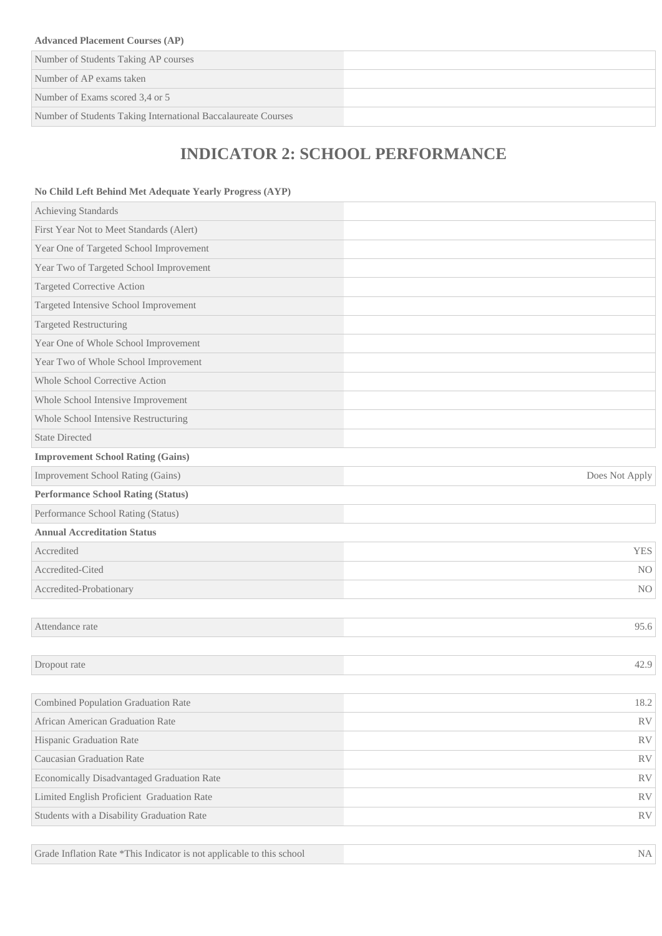#### **Advanced Placement Courses (AP)**

Number of Students Taking AP courses

Number of AP exams taken

Number of Exams scored 3,4 or 5

Number of Students Taking International Baccalaureate Courses

# **INDICATOR 2: SCHOOL PERFORMANCE**

#### **No Child Left Behind Met Adequate Yearly Progress (AYP)**

| Achieving Standards                        |                |
|--------------------------------------------|----------------|
| First Year Not to Meet Standards (Alert)   |                |
| Year One of Targeted School Improvement    |                |
| Year Two of Targeted School Improvement    |                |
| Targeted Corrective Action                 |                |
| Targeted Intensive School Improvement      |                |
| <b>Targeted Restructuring</b>              |                |
| Year One of Whole School Improvement       |                |
| Year Two of Whole School Improvement       |                |
| Whole School Corrective Action             |                |
| Whole School Intensive Improvement         |                |
| Whole School Intensive Restructuring       |                |
| <b>State Directed</b>                      |                |
| <b>Improvement School Rating (Gains)</b>   |                |
| Improvement School Rating (Gains)          | Does Not Apply |
| <b>Performance School Rating (Status)</b>  |                |
| Performance School Rating (Status)         |                |
| <b>Annual Accreditation Status</b>         |                |
| Accredited                                 | <b>YES</b>     |
| Accredited-Cited                           | N <sub>O</sub> |
| Accredited-Probationary                    | N <sub>O</sub> |
|                                            |                |
| Attendance rate                            | 95.6           |
|                                            |                |
| Dropout rate                               | 42.9           |
|                                            |                |
| <b>Combined Population Graduation Rate</b> | $18.2\,$       |
| African American Graduation Rate           | <b>RV</b>      |
| Hispanic Graduation Rate                   | <b>RV</b>      |
| Caucasian Graduation Rate                  | <b>RV</b>      |
| Economically Disadvantaged Graduation Rate | <b>RV</b>      |
| Limited English Proficient Graduation Rate | <b>RV</b>      |
| Students with a Disability Graduation Rate | ${\rm RV}$     |
|                                            |                |

Grade Inflation Rate \*This Indicator is not applicable to this school NA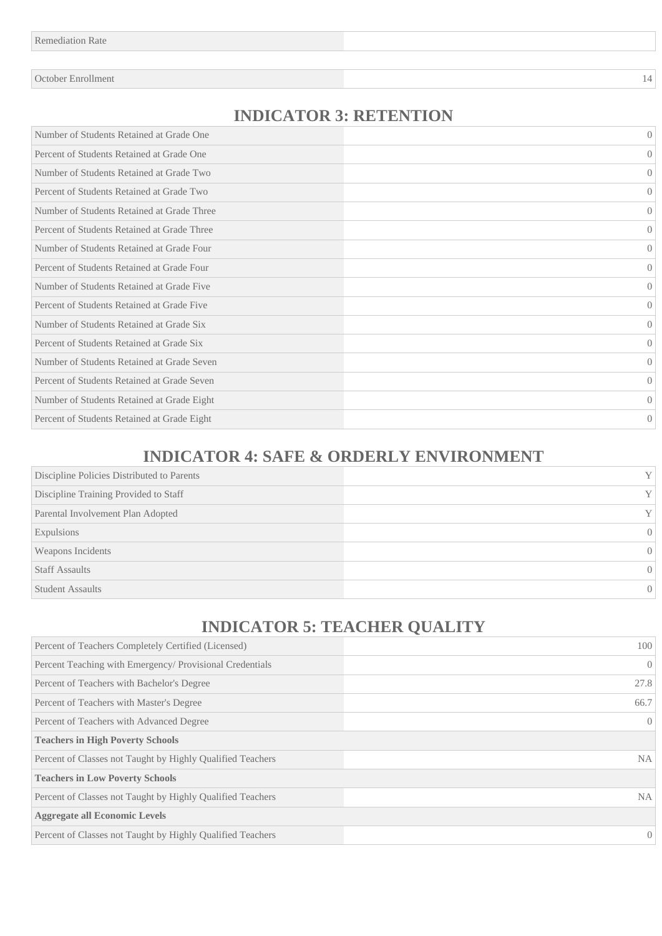October Enrollment 14

### **INDICATOR 3: RETENTION**

| Number of Students Retained at Grade One    | $\Omega$         |
|---------------------------------------------|------------------|
| Percent of Students Retained at Grade One   | $\Omega$         |
| Number of Students Retained at Grade Two    | $\overline{0}$   |
| Percent of Students Retained at Grade Two   | $\Omega$         |
| Number of Students Retained at Grade Three  | $\Omega$         |
| Percent of Students Retained at Grade Three | $\Omega$         |
| Number of Students Retained at Grade Four   | $\Omega$         |
| Percent of Students Retained at Grade Four  | $\overline{0}$   |
| Number of Students Retained at Grade Five   | $\left( \right)$ |
| Percent of Students Retained at Grade Five  | $\left( \right)$ |
| Number of Students Retained at Grade Six    | $\left( \right)$ |
| Percent of Students Retained at Grade Six   | $\left( \right)$ |
| Number of Students Retained at Grade Seven  | $\left( \right)$ |
| Percent of Students Retained at Grade Seven | $\Omega$         |
| Number of Students Retained at Grade Eight  | $\Omega$         |
| Percent of Students Retained at Grade Eight | $\overline{0}$   |

## **INDICATOR 4: SAFE & ORDERLY ENVIRONMENT**

| Discipline Policies Distributed to Parents | $\mathbf{V}$ |
|--------------------------------------------|--------------|
| Discipline Training Provided to Staff      | Y            |
| Parental Involvement Plan Adopted          | Y            |
| Expulsions                                 | $\Omega$     |
| Weapons Incidents                          | $\Omega$     |
| <b>Staff Assaults</b>                      | $\Omega$     |
| <b>Student Assaults</b>                    | 0            |

# **INDICATOR 5: TEACHER QUALITY**

| Percent of Teachers Completely Certified (Licensed)        | 100              |
|------------------------------------------------------------|------------------|
| Percent Teaching with Emergency/ Provisional Credentials   | $\left($         |
| Percent of Teachers with Bachelor's Degree                 | 27.8             |
| Percent of Teachers with Master's Degree                   | 66.7             |
| Percent of Teachers with Advanced Degree                   | $\left( \right)$ |
| <b>Teachers in High Poverty Schools</b>                    |                  |
| Percent of Classes not Taught by Highly Qualified Teachers | NA.              |
| <b>Teachers in Low Poverty Schools</b>                     |                  |
| Percent of Classes not Taught by Highly Qualified Teachers | NA.              |
| <b>Aggregate all Economic Levels</b>                       |                  |
| Percent of Classes not Taught by Highly Qualified Teachers | $\theta$         |